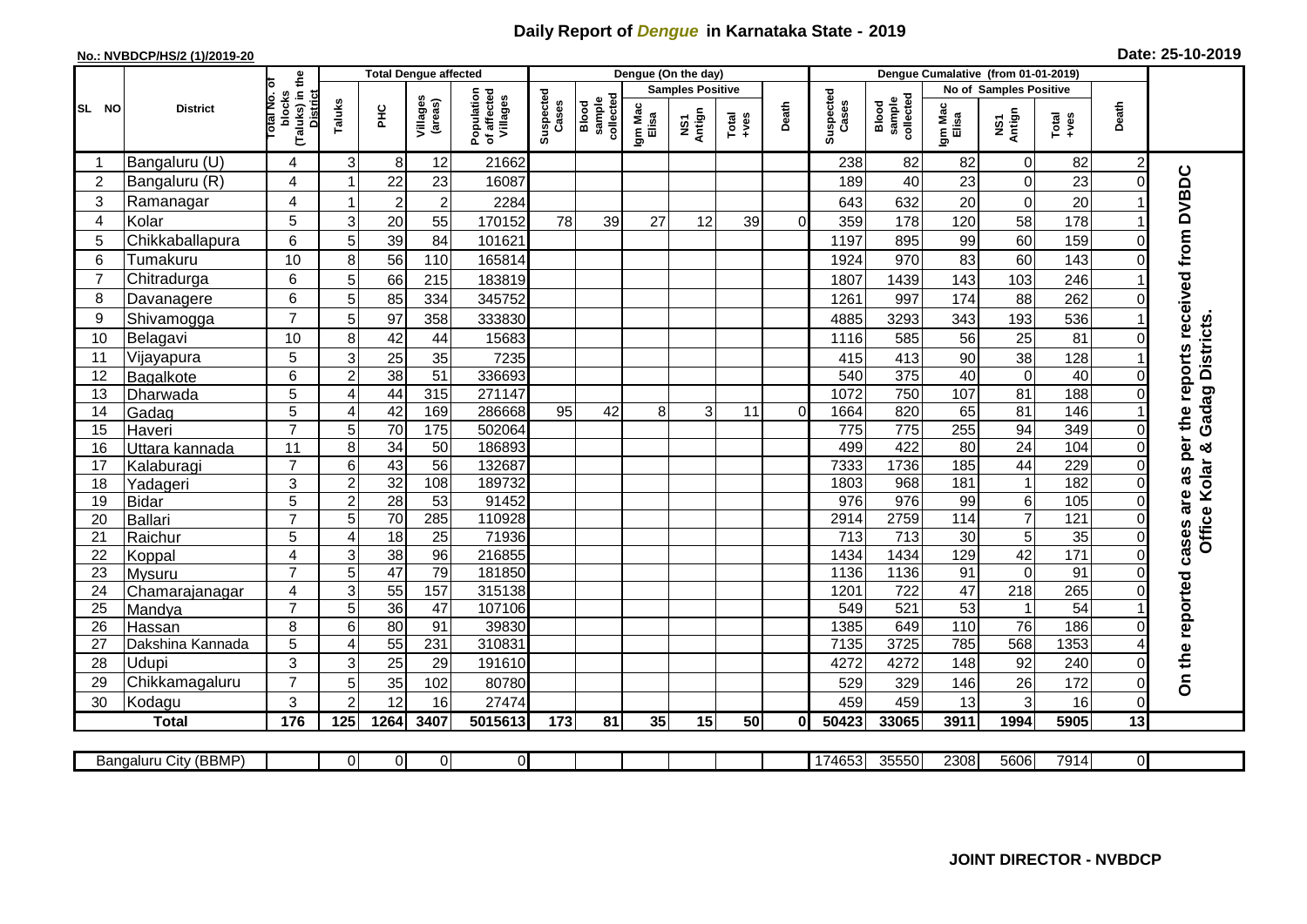## **Daily Report of** *Dengue* **in Karnataka State - 2019**

## **No.: NVBDCP/HS/2 (1)/2019-20 Date: 25-10-2019**

|                |                         |                                                            | <b>Total Dengue affected</b> |                 |                     |                                       |                    |                              |                  | Dengue (On the day)     |                  |                |                    |                              |                  |                        |                                                              |                          |                                                  |
|----------------|-------------------------|------------------------------------------------------------|------------------------------|-----------------|---------------------|---------------------------------------|--------------------|------------------------------|------------------|-------------------------|------------------|----------------|--------------------|------------------------------|------------------|------------------------|--------------------------------------------------------------|--------------------------|--------------------------------------------------|
|                |                         |                                                            |                              |                 |                     |                                       |                    |                              |                  | <b>Samples Positive</b> |                  |                |                    |                              |                  | No of Samples Positive |                                                              |                          |                                                  |
| SL NO          | <b>District</b>         | (Taluks) in the<br>otal No. o<br>blocks<br><b>District</b> | Taluks                       | ΞÉ              | Villages<br>(areas) | Population<br>of affected<br>Villages | Suspected<br>Cases | sample<br>collected<br>Blood | Igm Mac<br>Elisa | NS1<br>Antign           | $Tota$<br>$+ves$ | Death          | Suspected<br>Cases | collected<br>Blood<br>sample | Igm Mac<br>Elisa | NS1<br>Antign          | $\begin{array}{c}\n\text{Total} \\ \text{Area}\n\end{array}$ | Death                    |                                                  |
| -1             | Bangaluru (U)           | 4                                                          | 3                            | 8               | 12                  | 21662                                 |                    |                              |                  |                         |                  |                | 238                | 82                           | 82               | $\pmb{0}$              | 82                                                           | $\overline{\mathbf{c}}$  |                                                  |
| 2              | Bangaluru (R)           | 4                                                          |                              | 22              | 23                  | 16087                                 |                    |                              |                  |                         |                  |                | 189                | 40                           | 23               | $\mathbf 0$            | 23                                                           | $\Omega$                 |                                                  |
| 3              | Ramanagar               | 4                                                          |                              | $\overline{2}$  | $\overline{c}$      | 2284                                  |                    |                              |                  |                         |                  |                | 643                | 632                          | 20               | $\boldsymbol{0}$       | 20                                                           |                          | cases are as per the reports received from DVBDC |
| 4              | Kolar                   | 5                                                          | 3                            | 20              | 55                  | 170152                                | 78                 | 39                           | 27               | 12                      | 39               | $\Omega$       | 359                | 178                          | 120              | 58                     | 178                                                          |                          |                                                  |
| 5              | Chikkaballapura         | 6                                                          | 5                            | 39              | 84                  | 101621                                |                    |                              |                  |                         |                  |                | 1197               | 895                          | 99               | 60                     | 159                                                          | $\pmb{0}$                |                                                  |
| 6              | Tumakuru                | 10                                                         | 8                            | 56              | 110                 | 165814                                |                    |                              |                  |                         |                  |                | 1924               | 970                          | 83               | 60                     | 143                                                          | $\overline{0}$           |                                                  |
| $\overline{7}$ | Chitradurga             | 6                                                          | 5                            | 66              | 215                 | 183819                                |                    |                              |                  |                         |                  |                | 1807               | 1439                         | 143              | 103                    | 246                                                          |                          |                                                  |
| 8              | Davanagere              | 6                                                          | 5                            | 85              | 334                 | 345752                                |                    |                              |                  |                         |                  |                | 1261               | 997                          | 174              | 88                     | 262                                                          | $\Omega$                 |                                                  |
| 9              | Shivamogga              | $\overline{7}$                                             | 5                            | 97              | 358                 | 333830                                |                    |                              |                  |                         |                  |                | 4885               | 3293                         | 343              | 193                    | 536                                                          |                          |                                                  |
| 10             | Belagavi                | 10                                                         | 8                            | 42              | 44                  | 15683                                 |                    |                              |                  |                         |                  |                | 1116               | 585                          | 56               | 25                     | 81                                                           | 0                        | <b>Districts</b>                                 |
| 11             | Vijayapura              | 5                                                          | 3                            | 25              | 35                  | 7235                                  |                    |                              |                  |                         |                  |                | 415                | 413                          | 90               | $\overline{38}$        | 128                                                          |                          |                                                  |
| 12             | Bagalkote               | 6                                                          | $\overline{2}$               | 38              | 51                  | 336693                                |                    |                              |                  |                         |                  |                | 540                | 375                          | 40               | $\overline{0}$         | 40                                                           | $\mathbf 0$              |                                                  |
| 13             | Dharwada                | 5                                                          | 4                            | 44              | 315                 | 271147                                |                    |                              |                  |                         |                  |                | 1072               | 750                          | 107              | 81                     | 188                                                          | $\mathbf 0$              | Gadag                                            |
| 14             | Gadag                   | 5                                                          | $\overline{4}$               | 42              | 169                 | 286668                                | 95                 | 42                           | 8                | 3                       | 11               | $\overline{0}$ | 1664               | 820                          | 65               | 81                     | 146                                                          |                          |                                                  |
| 15             | Haveri                  | $\overline{7}$                                             | 5                            | 70              | 175                 | 502064                                |                    |                              |                  |                         |                  |                | 775                | 775                          | 255              | 94                     | 349                                                          | $\mathbf 0$              |                                                  |
| 16             | Uttara kannada          | 11                                                         | 8                            | $\overline{34}$ | $\overline{50}$     | 186893                                |                    |                              |                  |                         |                  |                | 499                | 422                          | $\overline{80}$  | 24                     | 104                                                          | $\pmb{0}$                | න්                                               |
| 17             | Kalaburagi              | $\overline{7}$                                             | 6                            | 43              | $\overline{56}$     | 132687                                |                    |                              |                  |                         |                  |                | 7333               | 1736                         | 185              | 44                     | 229                                                          | $\mathbf 0$              |                                                  |
| 18             | Yadageri                | 3                                                          | $\overline{c}$               | 32              | 108                 | 189732                                |                    |                              |                  |                         |                  |                | 1803               | 968                          | 181              | $\overline{1}$         | 182                                                          | $\mathbf 0$              |                                                  |
| 19             | <b>Bidar</b>            | 5                                                          | $\overline{c}$               | $\overline{28}$ | $\overline{53}$     | 91452                                 |                    |                              |                  |                         |                  |                | 976                | $\overline{976}$             | 99               | 6                      | 105                                                          | $\Omega$                 |                                                  |
| 20             | <b>Ballari</b>          | $\overline{7}$                                             | 5                            | $\overline{70}$ | 285                 | 110928                                |                    |                              |                  |                         |                  |                | 2914               | 2759                         | 114              | $\overline{7}$         | 121                                                          | 0                        |                                                  |
| 21             | Raichur                 | 5                                                          | $\overline{A}$               | 18              | $\overline{25}$     | 71936                                 |                    |                              |                  |                         |                  |                | $\overline{713}$   | $\overline{713}$             | $\overline{30}$  | $\overline{5}$         | $\overline{35}$                                              | $\mathbf 0$              | Office Kolar                                     |
| 22             | Koppal                  | 4                                                          | 3                            | 38              | 96                  | 216855                                |                    |                              |                  |                         |                  |                | 1434               | 1434                         | 129              | 42                     | $\frac{1}{171}$                                              | $\mathsf{O}\xspace$      |                                                  |
| 23             | Mysuru                  | $\overline{7}$                                             | 5                            | $\overline{47}$ | $\overline{79}$     | 181850                                |                    |                              |                  |                         |                  |                | 1136               | 1136                         | 91               | $\boldsymbol{0}$       | $\overline{91}$                                              | $\overline{0}$           |                                                  |
| 24             | Chamarajanagar          | 4                                                          | 3                            | 55              | 157                 | 315138                                |                    |                              |                  |                         |                  |                | 1201               | 722                          | 47               | 218                    | 265                                                          | $\mathsf{O}\xspace$      |                                                  |
| 25             | Mandya                  | $\overline{7}$                                             | 5                            | 36              | 47                  | 107106                                |                    |                              |                  |                         |                  |                | 549                | 521                          | 53               | -1                     | $\overline{54}$                                              |                          |                                                  |
| 26             | Hassan                  | 8                                                          | 6<br>$\overline{A}$          | 80              | 91<br>231           | 39830<br>310831                       |                    |                              |                  |                         |                  |                | 1385<br>7135       | 649<br>3725                  | 110<br>785       | $\overline{76}$<br>568 | 186<br>1353                                                  | $\mathsf{O}\xspace$      |                                                  |
| 27<br>28       | Dakshina Kannada        | 5<br>3                                                     |                              | 55              |                     |                                       |                    |                              |                  |                         |                  |                |                    |                              |                  |                        |                                                              |                          |                                                  |
| 29             | Udupi<br>Chikkamagaluru | $\overline{7}$                                             | 3<br>5                       | 25<br>35        | 29<br>102           | 191610<br>80780                       |                    |                              |                  |                         |                  |                | 4272<br>529        | 4272<br>329                  | 148<br>146       | 92<br>26               | 240<br>172                                                   | $\mathbf 0$<br>$\pmb{0}$ | On the reported                                  |
| 30             | Kodagu                  | 3                                                          | $\overline{2}$               | 12              | 16                  | 27474                                 |                    |                              |                  |                         |                  |                | 459                | 459                          | 13               | $\mathbf{3}$           | 16                                                           | $\overline{0}$           |                                                  |
|                | <b>Total</b>            | 176                                                        | 125                          | 1264            | 3407                | 5015613                               | 173                | 81                           | 35               | 15                      | 50               | 0              | 50423              | 33065                        | 3911             | 1994                   | 5905                                                         | 13                       |                                                  |
|                |                         |                                                            |                              |                 |                     |                                       |                    |                              |                  |                         |                  |                |                    |                              |                  |                        |                                                              |                          |                                                  |
|                | Bangaluru City (BBMP)   |                                                            | $\Omega$                     | $\overline{0}$  | $\overline{0}$      | $\mathbf{0}$                          |                    |                              |                  |                         |                  |                | 174653             | 35550                        | 2308             | 5606                   | 7914                                                         | $\overline{0}$           |                                                  |